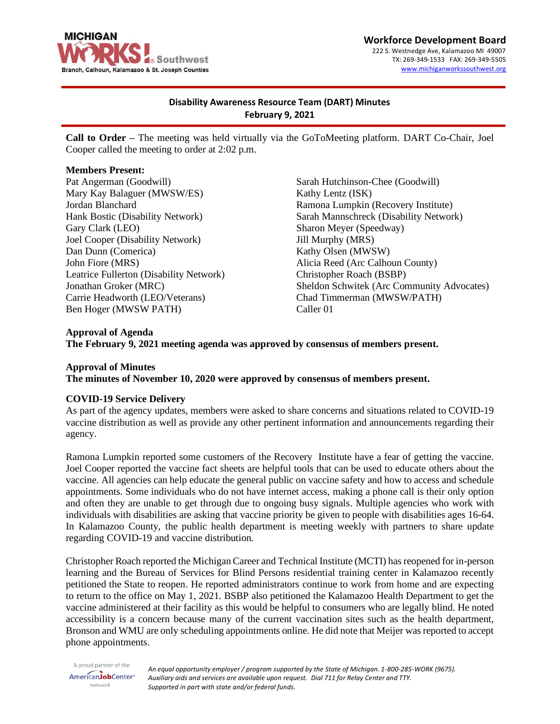

**Workforce Development Board** 222 S. Westnedge Ave, Kalamazoo MI 49007 TX: 269-349-1533 FAX: 269-349-5505 [www.michiganworkssouthwest.org](http://www.michiganworkssouthwest.org/)

# **Disability Awareness Resource Team (DART) Minutes February 9, 2021**

**Call to Order –** The meeting was held virtually via the GoToMeeting platform. DART Co-Chair, Joel Cooper called the meeting to order at 2:02 p.m.

### **Members Present:**

Pat Angerman (Goodwill) Mary Kay Balaguer (MWSW/ES) Jordan Blanchard Hank Bostic (Disability Network) Gary Clark (LEO) Joel Cooper (Disability Network) Dan Dunn (Comerica) John Fiore (MRS) Leatrice Fullerton (Disability Network) Jonathan Groker (MRC) Carrie Headworth (LEO/Veterans) Ben Hoger (MWSW PATH)

Sarah Hutchinson-Chee (Goodwill) Kathy Lentz (ISK) Ramona Lumpkin (Recovery Institute) Sarah Mannschreck (Disability Network) Sharon Meyer (Speedway) Jill Murphy (MRS) Kathy Olsen (MWSW) Alicia Reed (Arc Calhoun County) Christopher Roach (BSBP) Sheldon Schwitek (Arc Community Advocates) Chad Timmerman (MWSW/PATH) Caller 01

# **Approval of Agenda The February 9, 2021 meeting agenda was approved by consensus of members present.**

# **Approval of Minutes The minutes of November 10, 2020 were approved by consensus of members present.**

## **COVID-19 Service Delivery**

As part of the agency updates, members were asked to share concerns and situations related to COVID-19 vaccine distribution as well as provide any other pertinent information and announcements regarding their agency.

Ramona Lumpkin reported some customers of the Recovery Institute have a fear of getting the vaccine. Joel Cooper reported the vaccine fact sheets are helpful tools that can be used to educate others about the vaccine. All agencies can help educate the general public on vaccine safety and how to access and schedule appointments. Some individuals who do not have internet access, making a phone call is their only option and often they are unable to get through due to ongoing busy signals. Multiple agencies who work with individuals with disabilities are asking that vaccine priority be given to people with disabilities ages 16-64. In Kalamazoo County, the public health department is meeting weekly with partners to share update regarding COVID-19 and vaccine distribution.

Christopher Roach reported the Michigan Career and Technical Institute (MCTI) has reopened for in-person learning and the Bureau of Services for Blind Persons residential training center in Kalamazoo recently petitioned the State to reopen. He reported administrators continue to work from home and are expecting to return to the office on May 1, 2021. BSBP also petitioned the Kalamazoo Health Department to get the vaccine administered at their facility as this would be helpful to consumers who are legally blind. He noted accessibility is a concern because many of the current vaccination sites such as the health department, Bronson and WMU are only scheduling appointments online. He did note that Meijer was reported to accept phone appointments.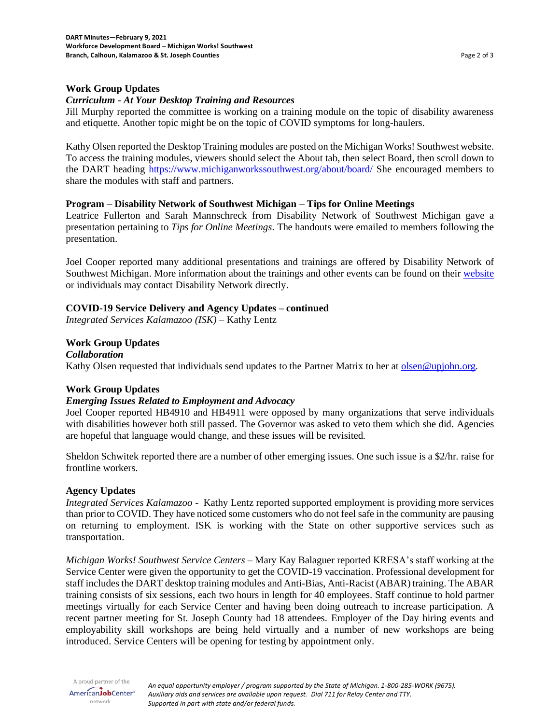## **Work Group Updates**

## *Curriculum - At Your Desktop Training and Resources*

Jill Murphy reported the committee is working on a training module on the topic of disability awareness and etiquette. Another topic might be on the topic of COVID symptoms for long-haulers.

Kathy Olsen reported the Desktop Training modules are posted on the Michigan Works! Southwest website. To access the training modules, viewers should select the About tab, then select Board, then scroll down to the DART heading<https://www.michiganworkssouthwest.org/about/board/> She encouraged members to share the modules with staff and partners.

## **Program – Disability Network of Southwest Michigan – Tips for Online Meetings**

Leatrice Fullerton and Sarah Mannschreck from Disability Network of Southwest Michigan gave a presentation pertaining to *Tips for Online Meetings*. The handouts were emailed to members following the presentation.

Joel Cooper reported many additional presentations and trainings are offered by Disability Network of Southwest Michigan. More information about the trainings and other events can be found on thei[r website](http://www.dnswm.org/) or individuals may contact Disability Network directly.

## **COVID-19 Service Delivery and Agency Updates – continued**

*Integrated Services Kalamazoo (ISK)* – Kathy Lentz

## **Work Group Updates**

*Collaboration* Kathy Olsen requested that individuals send updates to the Partner Matrix to her at [olsen@upjohn.org.](mailto:olsen@upjohn.org)

## **Work Group Updates**

## *Emerging Issues Related to Employment and Advocacy*

Joel Cooper reported HB4910 and HB4911 were opposed by many organizations that serve individuals with disabilities however both still passed. The Governor was asked to veto them which she did. Agencies are hopeful that language would change, and these issues will be revisited.

Sheldon Schwitek reported there are a number of other emerging issues. One such issue is a \$2/hr. raise for frontline workers.

## **Agency Updates**

*Integrated Services Kalamazoo -* Kathy Lentz reported supported employment is providing more services than prior to COVID. They have noticed some customers who do not feel safe in the community are pausing on returning to employment. ISK is working with the State on other supportive services such as transportation.

*Michigan Works! Southwest Service Centers* – Mary Kay Balaguer reported KRESA's staff working at the Service Center were given the opportunity to get the COVID-19 vaccination. Professional development for staff includes the DART desktop training modules and Anti-Bias, Anti-Racist (ABAR) training. The ABAR training consists of six sessions, each two hours in length for 40 employees. Staff continue to hold partner meetings virtually for each Service Center and having been doing outreach to increase participation. A recent partner meeting for St. Joseph County had 18 attendees. Employer of the Day hiring events and employability skill workshops are being held virtually and a number of new workshops are being introduced. Service Centers will be opening for testing by appointment only.